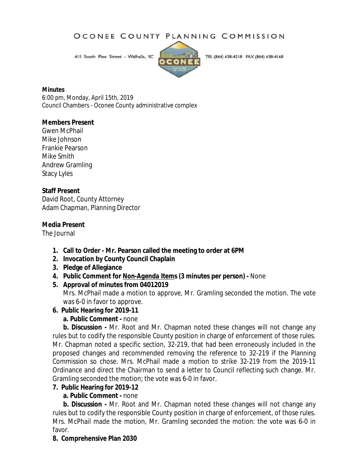### OCONEE COUNTY PLANNING COMMISSION

415 South Pine Street - Walhalla, SC



TEL (864) 638-4218 FAX (864) 638-4168

#### **Minutes**

6:00 pm, Monday, April 15th, 2019 Council Chambers - Oconee County administrative complex

### **Members Present**

Gwen McPhail Mike Johnson Frankie Pearson Mike Smith Andrew Gramling Stacy Lyles

### **Staff Present**

David Root, County Attorney Adam Chapman, Planning Director

### **Media Present**

The Journal

- **1. Call to Order - Mr. Pearson called the meeting to order at 6PM**
- **2. Invocation by County Council Chaplain**
- **3. Pledge of Allegiance**
- **4. Public Comment for** *Non-Agenda Items* **(3 minutes per person) -** None
- **5. Approval of minutes from 04012019**

Mrs. McPhail made a motion to approve, Mr. Gramling seconded the motion. The vote was 6-0 in favor to approve.

**6. Public Hearing for 2019-11**

### **a. Public Comment -** none

**b. Discussion -** Mr. Root and Mr. Chapman noted these changes will not change any rules but to codify the responsible County position in charge of enforcement of those rules. Mr. Chapman noted a specific section, 32-219, that had been erroneously included in the proposed changes and recommended removing the reference to 32-219 if the Planning Commission so chose. Mrs. McPhail made a motion to strike 32-219 from the 2019-11 Ordinance and direct the Chairman to send a letter to Council reflecting such change. Mr. Gramling seconded the motion; the vote was 6-0 in favor.

### **7. Public Hearing for 2019-12**

### **a. Public Comment -** none

**b. Discussion -** Mr. Root and Mr. Chapman noted these changes will not change any rules but to codify the responsible County position in charge of enforcement, of those rules. Mrs. McPhail made the motion, Mr. Gramling seconded the motion: the vote was 6-0 in favor.

### **8. Comprehensive Plan 2030**